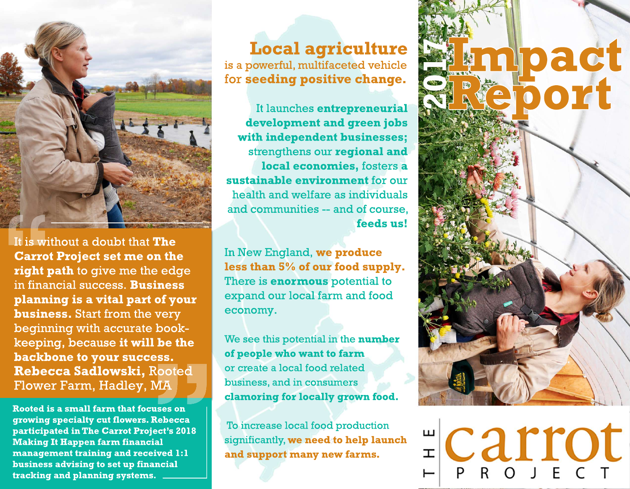

It is without a doubt that The **Carrot Project set me on the** right path to give me the edge in financial success. **Business** planning is a vital part of your **business.** Start from the very beginning with accurate bookkeeping, because it will be the backbone to your success. Rebecca Sadlowski, Rooted Flower Farm, Hadley, MA

Rooted is a small farm that focuses on growing specialty cut flowers. Rebecca participated in The Carrot Project's 2018 **Making It Happen farm financial** management training and received 1:1 business advising to set up financial tracking and planning systems.

**Local agriculture** is a powerful, multifaceted vehicle for seeding positive change.

It launches entrepreneurial development and green jobs with independent businesses; strengthens our regional and local economies, fosters a sustainable environment for our health and welfare as individuals and communities -- and of course. feeds us!

In New England, we produce less than 5% of our food supply. There is **enormous** potential to expand our local farm and food economy.

We see this potential in the number of people who want to farm or create a local food related business, and in consumers clamoring for locally grown food.

To increase local food production significantly, we need to help launch and support many new farms.



**ECarrot**